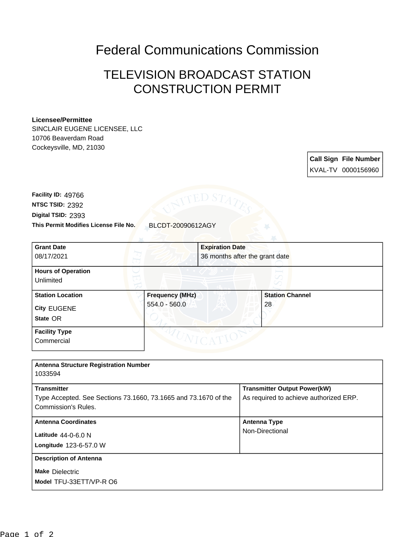## Federal Communications Commission

## TELEVISION BROADCAST STATION CONSTRUCTION PERMIT

## **Licensee/Permittee**

SINCLAIR EUGENE LICENSEE, LLC 10706 Beaverdam Road Cockeysville, MD, 21030

> **Call Sign File Number** KVAL-TV 0000156960

**This Permit Modifies License File No.** BLCDT-20090612AGY **Digital TSID:** 2393 **NTSC TSID:** 2392 **Facility ID:** 49766

| <b>Grant Date</b><br>08/17/2021                           | <b>Expiration Date</b><br>36 months after the grant date |                              |
|-----------------------------------------------------------|----------------------------------------------------------|------------------------------|
| <b>Hours of Operation</b><br>Unlimited                    |                                                          |                              |
| <b>Station Location</b><br><b>City EUGENE</b><br>State OR | <b>Frequency (MHz)</b><br>$554.0 - 560.0$                | <b>Station Channel</b><br>28 |
| <b>Facility Type</b><br>Commercial                        |                                                          |                              |

| <b>Antenna Structure Registration Number</b>                                                                 |                                                                               |
|--------------------------------------------------------------------------------------------------------------|-------------------------------------------------------------------------------|
| 1033594                                                                                                      |                                                                               |
| <b>Transmitter</b><br>Type Accepted. See Sections 73.1660, 73.1665 and 73.1670 of the<br>Commission's Rules. | <b>Transmitter Output Power(kW)</b><br>As required to achieve authorized ERP. |
| <b>Antenna Coordinates</b><br>Latitude $44-0-6.0$ N<br>Longitude 123-6-57.0 W                                | <b>Antenna Type</b><br>Non-Directional                                        |
| <b>Description of Antenna</b><br><b>Make Dielectric</b><br>Model TFU-33ETT/VP-R O6                           |                                                                               |